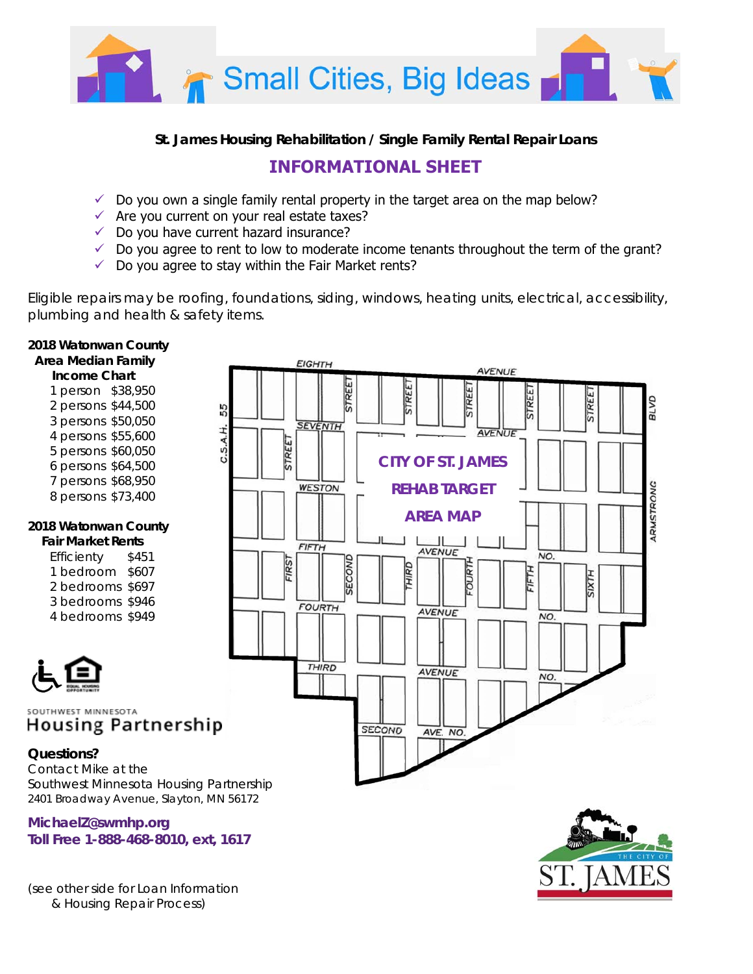

#### **St. James Housing Rehabilitation / Single Family Rental Repair Loans**

# **INFORMATIONAL SHEET**

- $\check{\phantom{\phi}}$  Do you own a single family rental property in the target area on the map below?
- $\checkmark$  Are you current on your real estate taxes?
- $\checkmark$  Do you have current hazard insurance?
- $\checkmark$  Do you agree to rent to low to moderate income tenants throughout the term of the grant?
- $\checkmark$  Do you agree to stay within the Fair Market rents?

Eligible repairs may be roofing, foundations, siding, windows, heating units, electrical, accessibility, plumbing and health & safety items.

### **2018 Watonwan County**

 **Area Median Family** 

 **Income Chart**  1 person \$38,950 2 persons \$44,500 3 persons \$50,050 4 persons \$55,600 5 persons \$60,050 6 persons \$64,500 7 persons \$68,950 8 persons \$73,400

#### **2018 Watonwan County**

 **Fair Market Rents**  Efficienty \$451 1 bedroom \$607 2 bedrooms \$697 3 bedrooms \$946 4 bedrooms \$949



#### SOUTHWEST MINNESOTA **Housing Partnership**

#### **Questions?**

Contact Mike at the Southwest Minnesota Housing Partnership 2401 Broadway Avenue, Slayton, MN 56172

**MichaelZ@swmhp.org Toll Free 1-888-468-8010, ext, 1617** 

*(see other side for Loan Information & Housing Repair Process)*